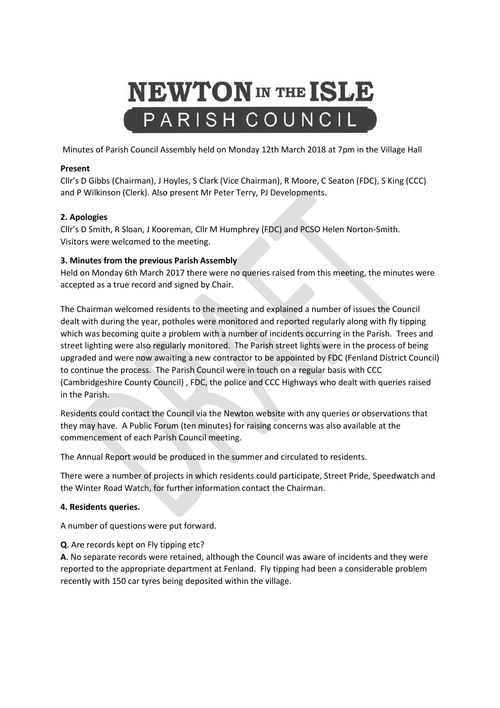# **NEWTON** IN THE ISLE PARISH COUNCIL

Minutes of Parish Council Assembly held on Monday 12th March 2018 at 7pm in the Village Hall

## **Present**

Cllr's D Gibbs (Chairman), J Hoyles, S Clark (Vice Chairman), R Moore, C Seaton (FDC), S King (CCC) and P Wilkinson (Clerk). Also present Mr Peter Terry, PJ Developments.

# **2. Apologies**

Cllr's D Smith, R Sloan, J Kooreman, Cllr M Humphrey (FDC) and PCSO Helen Norton-Smith. Visitors were welcomed to the meeting.

## **3. Minutes from the previous Parish Assembly**

Held on Monday 6th March 2017 there were no queries raised from this meeting, the minutes were accepted as a true record and signed by Chair.

The Chairman welcomed residents to the meeting and explained a number of issues the Council dealt with during the year, potholes were monitored and reported regularly along with fly tipping which was becoming quite a problem with a number of incidents occurring in the Parish. Trees and street lighting were also regularly monitored. The Parish street lights were in the process of being upgraded and were now awaiting a new contractor to be appointed by FDC (Fenland District Council) to continue the process. The Parish Council were in touch on a regular basis with CCC (Cambridgeshire County Council) , FDC, the police and CCC Highways who dealt with queries raised in the Parish.

Residents could contact the Council via the Newton website with any queries or observations that they may have. A Public Forum (ten minutes) for raising concerns was also available at the commencement of each Parish Council meeting.

The Annual Report would be produced in the summer and circulated to residents.

There were a number of projects in which residents could participate, Street Pride, Speedwatch and the Winter Road Watch, for further information contact the Chairman.

#### **4. Residents queries.**

A number of questions were put forward.

# **Q**. Are records kept on Fly tipping etc?

**A**. No separate records were retained, although the Council was aware of incidents and they were reported to the appropriate department at Fenland. Fly tipping had been a considerable problem recently with 150 car tyres being deposited within the village.